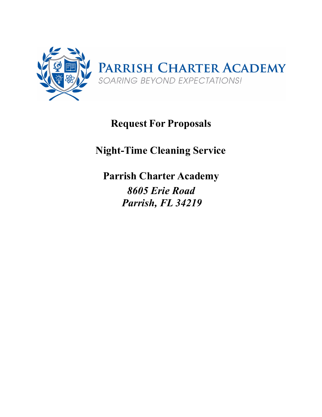

# **Request For Proposals**

# **Night-Time Cleaning Service**

**Parrish Charter Academy** *8605 Erie Road Parrish, FL 34219*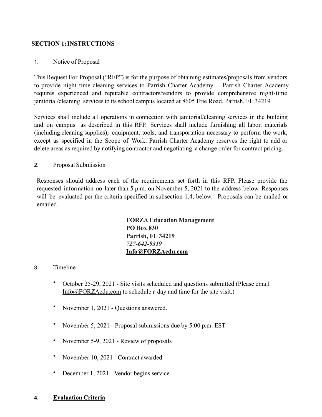#### **SECTION 1:INSTRUCTIONS**

#### 1. Notice of Proposal

This Request For Proposal ("RFP") is for the purpose of obtaining estimates/proposals from vendors to provide night time cleaning services to Parrish Charter Academy. Parrish Charter Academy requires experienced and reputable contractors/vendors to provide comprehensive night-time janitorial/cleaning services to its school campus located at 8605 Erie Road, Parrish, FL 34219

Services shall include all operations in connection with janitorial/cleaning services in the building and on campus as described in this RFP. Services shall include furnishing all labor, materials (including cleaning supplies), equipment, tools, and transportation necessary to perform the work, except as specified in the Scope of Work. Parrish Charter Academy reserves the right to add or delete areas as required by notifying contractor and negotiating a change order for contract pricing.

#### 2. Proposal Submission

Responses should address each of the requirements set forth in this RFP. Please provide the requested information no later than 5 p.m. on November 5, 2021 to the address below. Responses will be evaluated per the criteria specified in subsection 1.4, below. Proposals can be mailed or emailed.

> **FORZA Education Management PO Box 830 Parrish, FL 34219**  *727-642-9319*  **[Info@FORZAedu.com](mailto:Info@FORZAedu.com)**

#### 3. Timeline

- October 25-29, 2021 Site visits scheduled and questions submitted (Please email [Info@FORZAedu.com](mailto:Info@FORZAedu.com) to schedule a day and time for the site visit.)
- November 1, 2021 Questions answered.
- November 5, 2021 Proposal submissions due by 5:00 p.m. EST
- November 5-9, 2021 Review of proposals
- November 10, 2021 Contract awarded
- December 1, 2021 Vendor begins service

#### **4. Evaluation Criteria**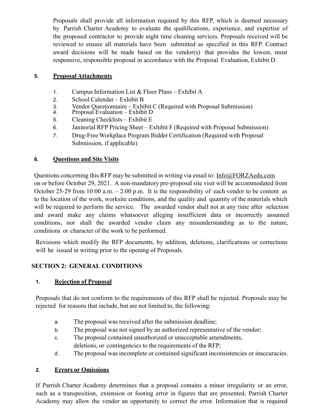Proposals shall provide all information required by this RFP, which is deemed necessary by Parrish Charter Academy to evaluate the qualifications, experience, and expertise of the proposed contractor to provide night time cleaning services. Proposals received will be reviewed to ensure all materials have been submitted as specified in this RFP. Contract award decisions will be made based on the vendor(s) that provides the lowest, most responsive, responsible proposal in accordance with the Proposal Evaluation, Exhibit D.

#### **5. Proposal Attachments**

- 1. Campus Information List & Floor Plans Exhibit A
- 2. School Calendar Exhibit B
- 3. Vendor Questionnaire Exhibit C (Required with Proposal Submission)
- 4. Proposal Evaluation Exhibit D
- 5. Cleaning Checklists Exhibit E
- 6. Janitorial RFP Pricing Sheet Exhibit F (Required with Proposal Submission)
- 7. Drug-Free Workplace Program Bidder Certification (Required with Proposal Submission, if applicable)

#### **6. Questions and Site Visits**

Questions concerning this RFP may be submitted in writing via email to: Info@FORZAedu.com on or before October 29, 2021. A non-mandatory pre-proposal site visit will be accommodated from October 25-29 from 10:00 a.m.  $-2:00$  p.m. It is the responsibility of each vendor to be content as to the location of the work, worksite conditions, and the quality and quantity of the materials which will be required to perform the service. The awarded vendor shall not at any time after selection and award make any claims whatsoever alleging insufficient data or incorrectly assumed conditions, nor shall the awarded vendor claim any misunderstanding as to the nature, conditions or character of the work to be performed.

Revisions which modify the RFP documents, by addition, deletions, clarifications or corrections will be issued in writing prior to the opening of Proposals.

#### **SECTION 2: GENERAL CONDITIONS**

#### **1. Rejection of Proposal**

Proposals that do not conform to the requirements of this RFP shall be rejected. Proposals may be rejected for reasons that include, but are not limited to, the following:

- a. The proposal was received after the submission deadline;
- b. The proposal was not signed by an authorized representative of the vendor;
- c. The proposal contained unauthorized or unacceptable amendments, deletions, or contingencies to the requirements of the RFP;
- d. The proposal was incomplete or contained significant inconsistencies or inaccuracies.

#### **2. Errors or Omissions**

If Parrish Charter Academy determines that a proposal contains a minor irregularity or an error, such as a transposition, extension or footing error in figures that are presented, Parrish Charter Academy may allow the vendor an opportunity to correct the error. Information that is required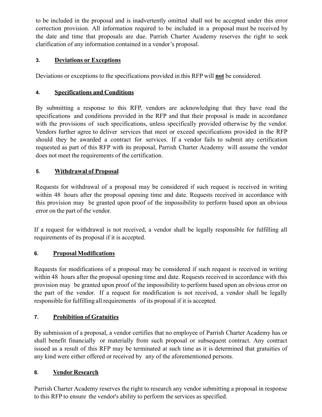to be included in the proposal and is inadvertently omitted shall not be accepted under this error correction provision. All information required to be included in a proposal must be received by the date and time that proposals are due. Parrish Charter Academy reserves the right to seek clarification of any information contained in a vendor's proposal.

# **3. Deviations or Exceptions**

Deviations or exceptions to the specifications provided in this RFP will **not** be considered.

#### **4. Specifications and Conditions**

By submitting a response to this RFP, vendors are acknowledging that they have read the specifications and conditions provided in the RFP and that their proposal is made in accordance with the provisions of such specifications, unless specifically provided otherwise by the vendor. Vendors further agree to deliver services that meet or exceed specifications provided in the RFP should they be awarded a contract for services. If a vendor fails to submit any certification requested as part of this RFP with its proposal, Parrish Charter Academy will assume the vendor does not meet the requirements of the certification.

## **5. Withdrawal of Proposal**

Requests for withdrawal of a proposal may be considered if such request is received in writing within 48 hours after the proposal opening time and date. Requests received in accordance with this provision may be granted upon proof of the impossibility to perform based upon an obvious error on the part of the vendor.

If a request for withdrawal is not received, a vendor shall be legally responsible for fulfilling all requirements of its proposal if it is accepted.

#### **6. Proposal Modifications**

Requests for modifications of a proposal may be considered if such request is received in writing within 48 hours after the proposal opening time and date. Requests received in accordance with this provision may be granted upon proof of the impossibility to perform based upon an obvious error on the part of the vendor. If a request for modification is not received, a vendor shall be legally responsible for fulfilling all requirements of its proposal if it is accepted.

# **7. Prohibition of Gratuities**

By submission of a proposal, a vendor certifies that no employee of Parrish Charter Academy has or shall benefit financially or materially from such proposal or subsequent contract. Any contract issued as a result of this RFP may be terminated at such time as it is determined that gratuities of any kind were either offered or received by any of the aforementioned persons.

# **8. Vendor Research**

Parrish Charter Academy reserves the right to research any vendor submitting a proposal in response to this RFP to ensure the vendor's ability to perform the services as specified.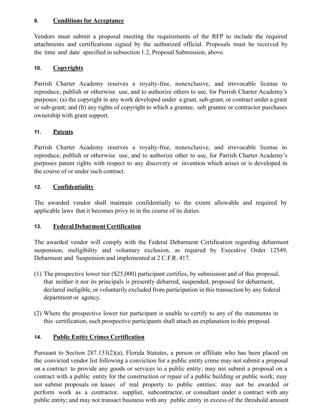#### **9. Conditions for Acceptance**

Vendors must submit a proposal meeting the requirements of the RFP to include the required attachments and certifications signed by the authorized official. Proposals must be received by the time and date specified in subsection 1.2, Proposal Submission, above.

#### **10. Copyrights**

Parrish Charter Academy reserves a royalty-free, nonexclusive, and irrevocable license to reproduce, publish or otherwise use, and to authorize others to use, for Parrish Charter Academy's purposes: (a) the copyright in any work developed under a grant, sub-grant, or contract under a grant or sub-grant; and (b) any rights of copyright to which a grantee, sub grantee or contractor purchases ownership with grant support.

#### **11. Patents**

Parrish Charter Academy reserves a royalty-free, nonexclusive, and irrevocable license to reproduce, publish or otherwise use, and to authorize other to use, for Parrish Charter Academy's purposes patent rights with respect to any discovery or invention which arises or is developed in the course of or under such contract.

#### **12. Confidentiality**

The awarded vendor shall maintain confidentially to the extent allowable and required by applicable laws that it becomes privy to in the course of its duties.

#### **13. Federal Debarment Certification**

The awarded vendor will comply with the Federal Debarment Certification regarding debarment suspension, ineligibility and voluntary exclusion, as required by Executive Order 12549, Debarment and Suspension and implemented at 2 C.F.R. 417.

- (1) The prospective lower tier (\$25,000) participant certifies, by submission and of this proposal, that neither it nor its principals is presently debarred, suspended, proposed for debarment, declared ineligible, or voluntarily excluded from participation in this transaction by any federal department or agency.
- (2) Where the prospective lower tier participant is unable to certify to any of the statements in this certification, such prospective participants shall attach an explanation to this proposal.

#### **14. Public Entity Crimes Certification**

Pursuant to Section 287.133(2)(a), Florida Statutes, a person or affiliate who has been placed on the convicted vendor list following a conviction for a public entity crime may not submit a proposal on a contract to provide any goods or services to a public entity; may not submit a proposal on a contract with a public entity for the construction or repair of a public building or public work; may not submit proposals on leases of real property to public entities; may not be awarded or perform work as a contractor, supplier, subcontractor, or consultant under a contract with any public entity; and may not transact business with any public entity in excess of the threshold amount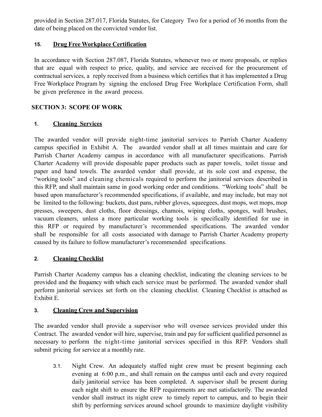provided in Section 287.017, Florida Statutes, for Category Two for a period of 36 months from the date of being placed on the convicted vendor list.

#### **15. Drug Free Workplace Certification**

In accordance with Section 287.087, Florida Statutes, whenever two or more proposals, or replies that are equal with respect to price, quality, and service are received for the procurement of contractual services, a reply received from a business which certifies that it has implemented a Drug Free Workplace Program by signing the enclosed Drug Free Workplace Certification Form, shall be given preference in the award process.

#### **SECTION 3: SCOPE OF WORK**

#### **1. Cleaning Services**

The awarded vendor will provide night-time janitorial services to Parrish Charter Academy campus specified in Exhibit A. The awarded vendor shall at all times maintain and care for Parrish Charter Academy campus in accordance with all manufacturer specifications. Parrish Charter Academy will provide disposable paper products such as paper towels, toilet tissue and paper and hand towels. The awarded vendor shall provide, at its sole cost and expense, the "working tools" and cleaning chemicals required to perform the janitorial services described in this RFP, and shall maintain same in good working order and conditions. "Working tools" shall be based upon manufacturer's recommended specifications, if available, and may include, but may not be limited to the following: buckets, dust pans, rubber gloves, squeegees, dust mops, wet mops, mop presses, sweepers, dust cloths, floor dressings, chamois, wiping cloths, sponges, wall brushes, vacuum cleaners, unless a more particular working tools is specifically identified for use in this RFP or required by manufacturer's recommended specifications. The awarded vendor shall be responsible for all costs associated with damage to Parrish Charter Academy property caused by its failure to follow manufacturer's recommended specifications.

#### **2. Cleaning Checklist**

Parrish Charter Academy campus has a cleaning checklist, indicating the cleaning services to be provided and the frequency with which each service must be performed. The awarded vendor shall perform janitorial services set forth on the cleaning checklist. Cleaning Checklist is attached as Exhibit E.

#### **3. Cleaning Crew and Supervision**

The awarded vendor shall provide a supervisor who will oversee services provided under this Contract. The awarded vendor will hire, supervise, train and pay for sufficient qualified personnel as necessary to perform the night-time janitorial services specified in this RFP. Vendors shall submit pricing for service at a monthly rate.

3.1. Night Crew. An adequately staffed night crew must be present beginning each evening at 6:00 p.m., and shall remain on the campus until each and every required daily janitorial service has been completed. A supervisor shall be present during each night shift to ensure the RFP requirements are met satisfactorily. The awarded vendor shall instruct its night crew to timely report to campus, and to begin their shift by performing services around school grounds to maximize daylight visibility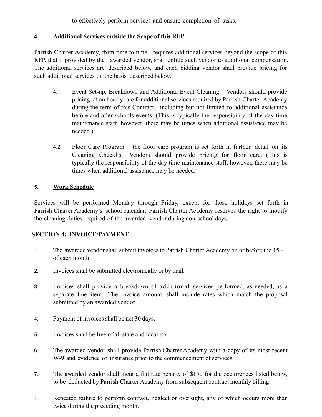to effectively perform services and ensure completion of tasks.

#### **4. Additional Services outside the Scope of this RFP**

Parrish Charter Academy, from time to time, requires additional services beyond the scope of this RFP, that if provided by the awarded vendor, shall entitle such vendor to additional compensation. The additional services are described below, and each bidding vendor shall provide pricing for such additional services on the basis described below.

- 4.1. Event Set-up, Breakdown and Additional Event Cleaning Vendors should provide pricing at an hourly rate for additional services required by Parrish Charter Academy during the term of this Contract, including but not limited to additional assistance before and after schools events. (This is typically the responsibility of the day time maintenance staff, however, there may be times when additional assistance may be needed.)
- 4.2. Floor Care Program the floor care program is set forth in further detail on its Cleaning Checklist. Vendors should provide pricing for floor care. (This is typically the responsibility of the day time maintenance staff, however, there may be times when additional assistance may be needed.)

#### **5. Work Schedule**

Services will be performed Monday through Friday, except for those holidays set forth in Parrish Charter Academy's school calendar. Parrish Charter Academy reserves the right to modify the cleaning duties required of the awarded vendor during non-school days.

#### **SECTION 4: INVOICE/PAYMENT**

- 1. The awarded vendor shall submit invoices to Parrish Charter Academy on or before the 15th of each month.
- 2. Invoices shall be submitted electronically or by mail.
- 3. Invoices shall provide a breakdown of additional services performed, as needed, as a separate line item. The invoice amount shall include rates which match the proposal submitted by an awarded vendor.
- 4. Payment of invoices shall be net 30 days,
- 5. Invoices shall be free of all state and local tax.
- 6. The awarded vendor shall provide Parrish Charter Academy with a copy of its most recent W-9 and evidence of insurance prior to the commencement of services.
- 7. The awarded vendor shall incur a flat rate penalty of \$150 for the occurrences listed below, to be deducted by Parrish Charter Academy from subsequent contract monthly billing:
- 1. Repeated failure to perform contract, neglect or oversight, any of which occurs more than twice during the preceding month.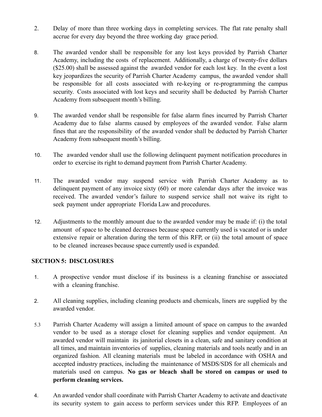- 2. Delay of more than three working days in completing services. The flat rate penalty shall accrue for every day beyond the three working day grace period.
- 8. The awarded vendor shall be responsible for any lost keys provided by Parrish Charter Academy, including the costs of replacement. Additionally, a charge of twenty-five dollars (\$25.00) shall be assessed against the awarded vendor for each lost key. In the event a lost key jeopardizes the security of Parrish Charter Academy campus, the awarded vendor shall be responsible for all costs associated with re-keying or re-programming the campus security. Costs associated with lost keys and security shall be deducted by Parrish Charter Academy from subsequent month's billing.
- 9. The awarded vendor shall be responsible for false alarm fines incurred by Parrish Charter Academy due to false alarms caused by employees of the awarded vendor. False alarm fines that are the responsibility of the awarded vendor shall be deducted by Parrish Charter Academy from subsequent month's billing.
- 10. The awarded vendor shall use the following delinquent payment notification procedures in order to exercise its right to demand payment from Parrish Charter Academy.
- 11. The awarded vendor may suspend service with Parrish Charter Academy as to delinquent payment of any invoice sixty (60) or more calendar days after the invoice was received. The awarded vendor's failure to suspend service shall not waive its right to seek payment under appropriate Florida Law and procedures.
- 12. Adjustments to the monthly amount due to the awarded vendor may be made if: (i) the total amount of space to be cleaned decreases because space currently used is vacated or is under extensive repair or alteration during the term of this RFP, or (ii) the total amount of space to be cleaned increases because space currently used is expanded.

#### **SECTION 5: DISCLOSURES**

- 1. A prospective vendor must disclose if its business is a cleaning franchise or associated with a cleaning franchise.
- 2. All cleaning supplies, including cleaning products and chemicals, liners are supplied by the awarded vendor.
- 5.3 Parrish Charter Academy will assign a limited amount of space on campus to the awarded vendor to be used as a storage closet for cleaning supplies and vendor equipment. An awarded vendor will maintain its janitorial closets in a clean, safe and sanitary condition at all times, and maintain inventories of supplies, cleaning materials and tools neatly and in an organized fashion. All cleaning materials must be labeled in accordance with OSHA and accepted industry practices, including the maintenance of MSDS/SDS for all chemicals and materials used on campus. **No gas or bleach shall be stored on campus or used to perform cleaning services.**
- 4. An awarded vendor shall coordinate with Parrish Charter Academy to activate and deactivate its security system to gain access to perform services under this RFP. Employees of an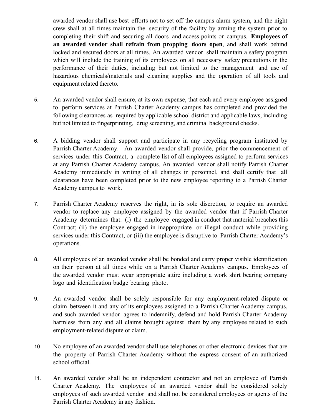awarded vendor shall use best efforts not to set off the campus alarm system, and the night crew shall at all times maintain the security of the facility by arming the system prior to completing their shift and securing all doors and access points on campus. **Employees of an awarded vendor shall refrain from propping doors open**, and shall work behind locked and secured doors at all times. An awarded vendor shall maintain a safety program which will include the training of its employees on all necessary safety precautions in the performance of their duties, including but not limited to the management and use of hazardous chemicals/materials and cleaning supplies and the operation of all tools and equipment related thereto.

- 5. An awarded vendor shall ensure, at its own expense, that each and every employee assigned to perform services at Parrish Charter Academy campus has completed and provided the following clearances as required by applicable school district and applicable laws, including but not limited to fingerprinting, drug screening, and criminal background checks.
- 6. A bidding vendor shall support and participate in any recycling program instituted by Parrish Charter Academy. An awarded vendor shall provide, prior the commencement of services under this Contract, a complete list of all employees assigned to perform services at any Parrish Charter Academy campus. An awarded vendor shall notify Parrish Charter Academy immediately in writing of all changes in personnel, and shall certify that all clearances have been completed prior to the new employee reporting to a Parrish Charter Academy campus to work.
- 7. Parrish Charter Academy reserves the right, in its sole discretion, to require an awarded vendor to replace any employee assigned by the awarded vendor that if Parrish Charter Academy determines that: (i) the employee engaged in conduct that material breaches this Contract; (ii) the employee engaged in inappropriate or illegal conduct while providing services under this Contract; or (iii) the employee is disruptive to Parrish Charter Academy's operations.
- 8. All employees of an awarded vendor shall be bonded and carry proper visible identification on their person at all times while on a Parrish Charter Academy campus. Employees of the awarded vendor must wear appropriate attire including a work shirt bearing company logo and identification badge bearing photo.
- 9. An awarded vendor shall be solely responsible for any employment-related dispute or claim between it and any of its employees assigned to a Parrish Charter Academy campus, and such awarded vendor agrees to indemnify, defend and hold Parrish Charter Academy harmless from any and all claims brought against them by any employee related to such employment-related dispute or claim.
- 10. No employee of an awarded vendor shall use telephones or other electronic devices that are the property of Parrish Charter Academy without the express consent of an authorized school official.
- 11. An awarded vendor shall be an independent contractor and not an employee of Parrish Charter Academy. The employees of an awarded vendor shall be considered solely employees of such awarded vendor and shall not be considered employees or agents of the Parrish Charter Academy in any fashion.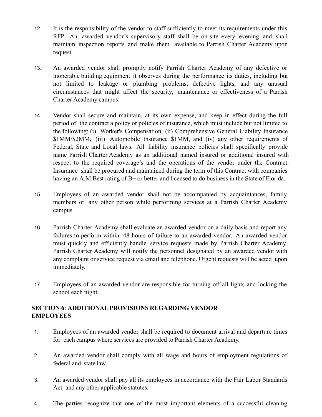- 12. It is the responsibility of the vendor to staff sufficiently to meet its requirements under this RFP. An awarded vendor's supervisory staff shall be on-site every evening and shall maintain inspection reports and make them available to Parrish Charter Academy upon request.
- 13. An awarded vendor shall promptly notify Parrish Charter Academy of any defective or inoperable building equipment it observes during the performance its duties, including but not limited to leakage or plumbing problems, defective lights, and any unusual circumstances that might affect the security, maintenance or effectiveness of a Parrish Charter Academy campus.
- 14. Vendor shall secure and maintain, at its own expense, and keep in effect during the full period of the contract a policy or policies of insurance, which must include but not limited to the following: (i) Worker's Compensation, (ii) Comprehensive General Liability Insurance \$1MM/\$2MM, (iii) Automobile Insurance \$1MM, and (iv) any other requirements of Federal, State and Local laws. All liability insurance policies shall specifically provide name Parrish Charter Academy as an additional named insured or additional insured with respect to the required coverage's and the operations of the vendor under the Contract. Insurance shall be procured and maintained during the term of this Contract with companies having an A.M.Best rating of B+ or better and licensed to do business in the State of Florida.
- 15. Employees of an awarded vendor shall not be accompanied by acquaintances, family members or any other person while performing services at a Parrish Charter Academy campus.
- 16. Parrish Charter Academy shall evaluate an awarded vendor on a daily basis and report any failures to perform within 48 hours of failure to an awarded vendor. An awarded vendor must quickly and efficiently handle service requests made by Parrish Charter Academy. Parrish Charter Academy will notify the personnel designated by an awarded vendor with any complaint or service request via email and telephone. Urgent requests will be acted upon immediately.
- 17. Employees of an awarded vendor are responsible for turning off all lights and locking the school each night.

#### **SECTION 6**: **ADDITIONALPROVISIONS REGARDING VENDOR EMPLOYEES**

- 1. Employees of an awarded vendor shall be required to document arrival and departure times for each campus where services are provided to Parrish Charter Academy.
- 2. An awarded vendor shall comply with all wage and hours of employment regulations of federal and state law.
- 3. An awarded vendor shall pay all its employees in accordance with the Fair Labor Standards Act and any other applicable statutes.
- 4. The parties recognize that one of the most important elements of a successful cleaning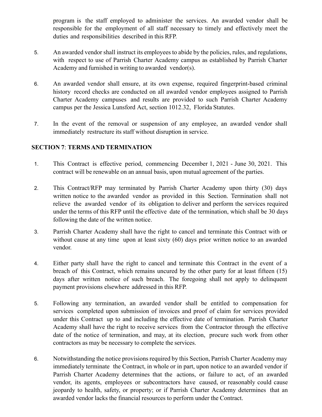program is the staff employed to administer the services. An awarded vendor shall be responsible for the employment of all staff necessary to timely and effectively meet the duties and responsibilities described in this RFP.

- 5. An awarded vendor shall instruct its employees to abide by the policies, rules, and regulations, with respect to use of Parrish Charter Academy campus as established by Parrish Charter Academy and furnished in writing to awarded vendor(s).
- 6. An awarded vendor shall ensure, at its own expense, required fingerprint-based criminal history record checks are conducted on all awarded vendor employees assigned to Parrish Charter Academy campuses and results are provided to such Parrish Charter Academy campus per the Jessica Lunsford Act, section 1012.32, Florida Statutes.
- 7. In the event of the removal or suspension of any employee, an awarded vendor shall immediately restructure its staff without disruption in service.

#### **SECTION 7**: **TERMSAND TERMINATION**

- 1. This Contract is effective period, commencing December 1, 2021 June 30, 2021. This contract will be renewable on an annual basis, upon mutual agreement of the parties.
- 2. This Contract/RFP may terminated by Parrish Charter Academy upon thirty (30) days written notice to the awarded vendor as provided in this Section. Termination shall not relieve the awarded vendor of its obligation to deliver and perform the services required under the terms of this RFP until the effective date of the termination, which shall be 30 days following the date of the written notice.
- 3. Parrish Charter Academy shall have the right to cancel and terminate this Contract with or without cause at any time upon at least sixty (60) days prior written notice to an awarded vendor.
- 4. Either party shall have the right to cancel and terminate this Contract in the event of a breach of this Contract, which remains uncured by the other party for at least fifteen (15) days after written notice of such breach. The foregoing shall not apply to delinquent payment provisions elsewhere addressed in this RFP.
- 5. Following any termination, an awarded vendor shall be entitled to compensation for services completed upon submission of invoices and proof of claim for services provided under this Contract up to and including the effective date of termination. Parrish Charter Academy shall have the right to receive services from the Contractor through the effective date of the notice of termination, and may, at its election, procure such work from other contractors as may be necessary to complete the services.
- 6. Notwithstanding the notice provisions required by this Section, Parrish Charter Academy may immediately terminate the Contract, in whole or in part, upon notice to an awarded vendor if Parrish Charter Academy determines that the actions, or failure to act, of an awarded vendor, its agents, employees or subcontractors have caused, or reasonably could cause jeopardy to health, safety, or property; or if Parrish Charter Academy determines that an awarded vendor lacks the financial resources to perform under the Contract.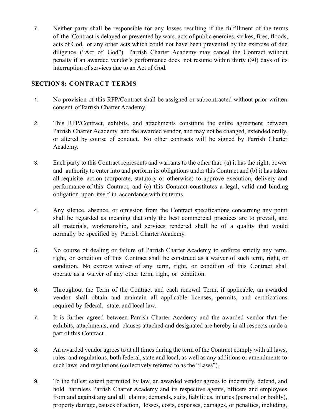7. Neither party shall be responsible for any losses resulting if the fulfillment of the terms of the Contract is delayed or prevented by wars, acts of public enemies, strikes, fires, floods, acts of God, or any other acts which could not have been prevented by the exercise of due diligence ("Act of God"). Parrish Charter Academy may cancel the Contract without penalty if an awarded vendor's performance does not resume within thirty (30) days of its interruption of services due to an Act of God.

#### **SECTION 8: CONTRACT TERMS**

- 1. No provision of this RFP/Contract shall be assigned or subcontracted without prior written consent of Parrish Charter Academy.
- 2. This RFP/Contract, exhibits, and attachments constitute the entire agreement between Parrish Charter Academy and the awarded vendor, and may not be changed, extended orally, or altered by course of conduct. No other contracts will be signed by Parrish Charter Academy.
- 3. Each party to this Contract represents and warrants to the other that: (a) it has the right, power and authority to enter into and perform its obligations under this Contract and (b) it has taken all requisite action (corporate, statutory or otherwise) to approve execution, delivery and performance of this Contract, and (c) this Contract constitutes a legal, valid and binding obligation upon itself in accordance with its terms.
- 4. Any silence, absence, or omission from the Contract specifications concerning any point shall be regarded as meaning that only the best commercial practices are to prevail, and all materials, workmanship, and services rendered shall be of a quality that would normally be specified by Parrish Charter Academy.
- 5. No course of dealing or failure of Parrish Charter Academy to enforce strictly any term, right, or condition of this Contract shall be construed as a waiver of such term, right, or condition. No express waiver of any term, right, or condition of this Contract shall operate as a waiver of any other term, right, or condition.
- 6. Throughout the Term of the Contract and each renewal Term, if applicable, an awarded vendor shall obtain and maintain all applicable licenses, permits, and certifications required by federal, state, and local law.
- 7. It is further agreed between Parrish Charter Academy and the awarded vendor that the exhibits, attachments, and clauses attached and designated are hereby in all respects made a part of this Contract.
- 8. An awarded vendor agrees to at all times during the term of the Contract comply with all laws, rules and regulations, both federal, state and local, as well as any additions or amendments to such laws and regulations (collectively referred to as the "Laws").
- 9. To the fullest extent permitted by law, an awarded vendor agrees to indemnify, defend, and hold harmless Parrish Charter Academy and its respective agents, officers and employees from and against any and all claims, demands, suits, liabilities, injuries (personal or bodily), property damage, causes of action, losses, costs, expenses, damages, or penalties, including,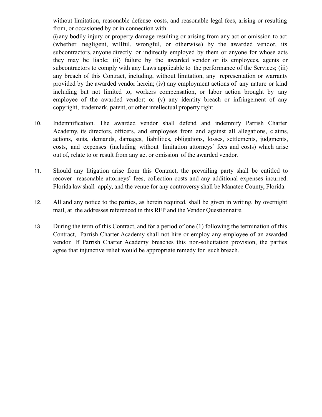without limitation, reasonable defense costs, and reasonable legal fees, arising or resulting from, or occasioned by or in connection with

(i) any bodily injury or property damage resulting or arising from any act or omission to act (whether negligent, willful, wrongful, or otherwise) by the awarded vendor, its subcontractors, anyone directly or indirectly employed by them or anyone for whose acts they may be liable; (ii) failure by the awarded vendor or its employees, agents or subcontractors to comply with any Laws applicable to the performance of the Services; (iii) any breach of this Contract, including, without limitation, any representation or warranty provided by the awarded vendor herein; (iv) any employment actions of any nature or kind including but not limited to, workers compensation, or labor action brought by any employee of the awarded vendor; or (v) any identity breach or infringement of any copyright, trademark, patent, or other intellectual property right.

- 10. Indemnification. The awarded vendor shall defend and indemnify Parrish Charter Academy, its directors, officers, and employees from and against all allegations, claims, actions, suits, demands, damages, liabilities, obligations, losses, settlements, judgments, costs, and expenses (including without limitation attorneys' fees and costs) which arise out of, relate to or result from any act or omission of the awarded vendor.
- 11. Should any litigation arise from this Contract, the prevailing party shall be entitled to recover reasonable attorneys' fees, collection costs and any additional expenses incurred. Florida law shall apply, and the venue for any controversy shall be Manatee County, Florida.
- 12. All and any notice to the parties, as herein required, shall be given in writing, by overnight mail, at the addresses referenced in this RFP and the Vendor Questionnaire.
- 13. During the term of this Contract, and for a period of one (1) following the termination of this Contract, Parrish Charter Academy shall not hire or employ any employee of an awarded vendor. If Parrish Charter Academy breaches this non-solicitation provision, the parties agree that injunctive relief would be appropriate remedy for such breach.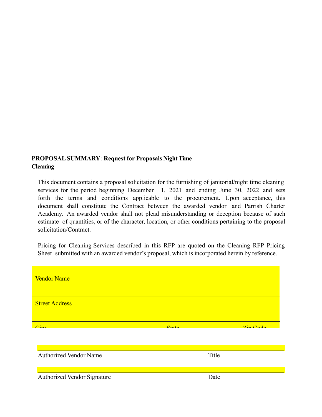#### **PROPOSALSUMMARY**: **Request for Proposals Night Time Cleaning**

This document contains a proposal solicitation for the furnishing of janitorial/night time cleaning services for the period beginning December 1, 2021 and ending June 30, 2022 and sets forth the terms and conditions applicable to the procurement. Upon acceptance, this document shall constitute the Contract between the awarded vendor and Parrish Charter Academy. An awarded vendor shall not plead misunderstanding or deception because of such estimate of quantities, or of the character, location, or other conditions pertaining to the proposal solicitation/Contract.

Pricing for Cleaning Services described in this RFP are quoted on the Cleaning RFP Pricing Sheet submitted with an awarded vendor's proposal, which is incorporated herein by reference.

| <b>Vendor Name</b>            |                    |                   |
|-------------------------------|--------------------|-------------------|
| <b>Street Address</b>         |                    |                   |
| $\bigcap_{i\leq r}$           | $Q_{\text{total}}$ | $7in \text{Cada}$ |
|                               |                    |                   |
|                               |                    |                   |
| <b>Authorized Vendor Name</b> | Title              |                   |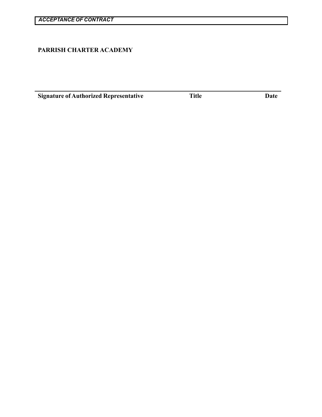## **PARRISH CHARTER ACADEMY**

**Signature of Authorized Representative Title Date** Date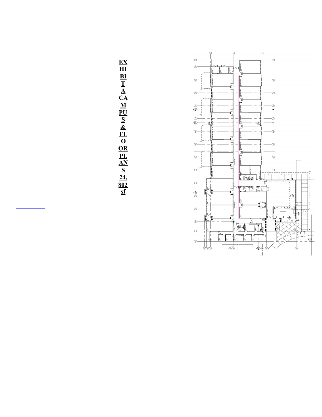

**EX HI BI T A CA M PU S & FL O OR PL AN S 24, 802 sf**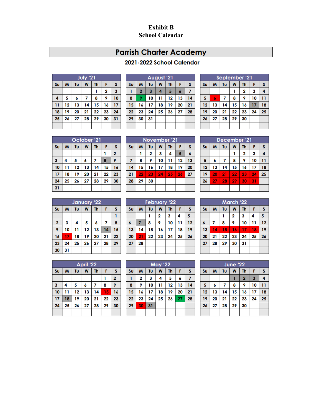# **Exhibit B School Calendar**

# **Parrish Charter Academy**

# 2021-2022 School Calendar

|                 | July '21 |    |    |    |    |    |  |
|-----------------|----------|----|----|----|----|----|--|
| Su              | M        | Tu | W  | Th | F  | S  |  |
|                 |          |    |    |    | 2  | 3  |  |
| 4               | 5        | 6  | 7  | 8  | 9  | 10 |  |
| $\overline{11}$ | 12       | 13 | 14 | 15 | 16 | 17 |  |
| 18              | 19       | 20 | 21 | 22 | 23 | 24 |  |
| 25              | 26       | 27 | 28 | 29 | 30 | 31 |  |
|                 |          |    |    |    |    |    |  |

|    | August '21     |    |    |           |    |    |  |
|----|----------------|----|----|-----------|----|----|--|
| Su | M              | Tu | W  | <b>Th</b> | F  | s  |  |
|    | $\overline{2}$ | 3  | 4  | 5         | 6  |    |  |
| 8  | 9              | 10 | 11 | 12        | 13 | 14 |  |
| 15 | 16             | 17 | 18 | 19        | 20 | 21 |  |
| 22 | 23             | 24 | 25 | 26        | 27 | 28 |  |
| 29 | 30             | 31 |    |           |    |    |  |
|    |                |    |    |           |    |    |  |

|                | September '21 |    |    |    |    |    |  |  |
|----------------|---------------|----|----|----|----|----|--|--|
| S <sub>U</sub> | M             | Tυ | W  | Th | F  | S  |  |  |
|                |               |    |    | 2  | 3  | 4  |  |  |
| 5              |               | 7  | 8  | 9  | 10 | 11 |  |  |
| 12             | 13            | 14 | 15 | 16 | 17 | 18 |  |  |
| 19             | 20            | 21 | 22 | 23 | 24 | 25 |  |  |
| 26             | 27            | 28 | 29 | 30 |    |    |  |  |
|                |               |    |    |    |    |    |  |  |

|    | October '21 |    |    |           |    |    |  |
|----|-------------|----|----|-----------|----|----|--|
| Su | M           | Tu | W  | <b>Th</b> | F  | S  |  |
|    |             |    |    |           |    | 2  |  |
| 3  | 4           | 5  | 6  | 7         | 8  | 9  |  |
| 10 | 11          | 12 | 13 | 14        | 15 | 16 |  |
| 17 | 18          | 19 | 20 | 21        | 22 | 23 |  |
| 24 | 25          | 26 | 27 | 28        | 29 | 30 |  |
| 31 |             |    |    |           |    |    |  |

|    | November '21 |    |    |           |    |    |  |
|----|--------------|----|----|-----------|----|----|--|
| Su | M            | Tu | W  | <b>Th</b> | F  | s  |  |
|    | 1            | 2  | 3  | 4         | 5  | 6  |  |
|    | 8            | 9  | 10 | 11        | 12 | 13 |  |
| 14 | 15           | 16 | 17 | 18        | 19 | 20 |  |
| 21 | 22           | 23 | 24 | 25        | 26 | 27 |  |
| 28 | 29           | 30 |    |           |    |    |  |
|    |              |    |    |           |    |    |  |

|                                   | December '21                        |    |    |    |    |    |  |  |
|-----------------------------------|-------------------------------------|----|----|----|----|----|--|--|
| Su                                | W<br>M<br>Tu<br><b>Th</b><br>S<br>F |    |    |    |    |    |  |  |
|                                   |                                     |    |    | 2  | 3  | 4  |  |  |
| 5<br>10<br>8<br>7<br>9<br>6<br>11 |                                     |    |    |    |    |    |  |  |
| 12                                | 13                                  | 14 | 15 | 16 | 17 | 18 |  |  |
| 19                                | 20                                  | 21 | 22 | 23 | 24 | 25 |  |  |
| 26<br>27<br>31<br>28<br>30<br>29  |                                     |    |    |    |    |    |  |  |
|                                   |                                     |    |    |    |    |    |  |  |

|              | January '22             |    |    |    |    |    |  |  |
|--------------|-------------------------|----|----|----|----|----|--|--|
| Su           | Tu<br>M<br>W<br>Th<br>F |    |    |    |    |    |  |  |
|              |                         |    |    |    |    |    |  |  |
| $\mathbf{2}$ | 3                       | 4  | 5  | 6  | 7  | 8  |  |  |
| 9            | 10                      | 11 | 12 | 13 | 14 | 15 |  |  |
| 16           | 17                      | 18 | 19 | 20 | 21 | 22 |  |  |
| 23           | 24                      | 25 | 26 | 27 | 28 | 29 |  |  |
| 30           | 31                      |    |    |    |    |    |  |  |

|    | <b>February '22</b> |    |    |    |    |    |  |
|----|---------------------|----|----|----|----|----|--|
| Su | M                   | Tu | W  | Th | F  | S  |  |
|    |                     |    | 2  | 3  | 4  | 5  |  |
| 6  | 7                   | 8  | 9  | 10 | 11 | 12 |  |
| 13 | 14                  | 15 | 16 | 17 | 18 | 19 |  |
| 20 | 21                  | 22 | 23 | 24 | 25 | 26 |  |
| 27 | 28                  |    |    |    |    |    |  |
|    |                     |    |    |    |    |    |  |

| <b>March '22</b> |    |    |    |           |    |    |  |  |
|------------------|----|----|----|-----------|----|----|--|--|
| S <sub>U</sub>   | M  | Tu | W  | <b>Th</b> | F  | S  |  |  |
|                  |    |    | 2  | 3         | 4  | 5  |  |  |
| $\boldsymbol{6}$ |    | 8  | 9  | 10        | 11 | 12 |  |  |
| 13               | 14 | 15 | 16 | 17        | 18 | 19 |  |  |
| 20               | 21 | 22 | 23 | 24        | 25 | 26 |  |  |
| 27               | 28 | 29 | 30 | 31        |    |    |  |  |
|                  |    |    |    |           |    |    |  |  |

|    | April '22 |    |    |    |    |                         |  |
|----|-----------|----|----|----|----|-------------------------|--|
| Su | F         | S  |    |    |    |                         |  |
|    |           |    |    |    |    | $\overline{\mathbf{2}}$ |  |
| 3  | 4         | 5  | 6  | 7  | 8  | 9                       |  |
| 10 | 11        | 12 | 13 | 14 | 15 | 16                      |  |
| 17 | 18        | 19 | 20 | 21 | 22 | 23                      |  |
| 24 | 25        | 26 | 27 | 28 | 29 | 30                      |  |
|    |           |    |    |    |    |                         |  |

|    | <b>May '22</b> |    |    |           |    |    |  |
|----|----------------|----|----|-----------|----|----|--|
| Su | M              | Tu | W  | <b>Th</b> | F  | S  |  |
|    | 2              | 3  | 4  | 5         | 6  |    |  |
| 8  | 9              | 10 | 11 | 12        | 13 | 14 |  |
| 15 | 16             | 17 | 18 | 19        | 20 | 21 |  |
| 22 | 23             | 24 | 25 | 26        | 27 | 28 |  |
| 29 | 30             | 31 |    |           |    |    |  |
|    |                |    |    |           |    |    |  |

| <b>June '22</b> |    |    |    |           |    |    |  |  |
|-----------------|----|----|----|-----------|----|----|--|--|
| Su              | M  | Tu | W  | <b>Th</b> | S  |    |  |  |
|                 |    |    |    | 2         | 3  | 4  |  |  |
| 5               | 6  | 7  | 8  | 9         | 10 | 11 |  |  |
| 12              | 13 | 14 | 15 | 16        | 17 | 18 |  |  |
| 19              | 20 | 21 | 22 | 23        | 24 | 25 |  |  |
| 26              | 27 | 28 | 29 | 30        |    |    |  |  |
|                 |    |    |    |           |    |    |  |  |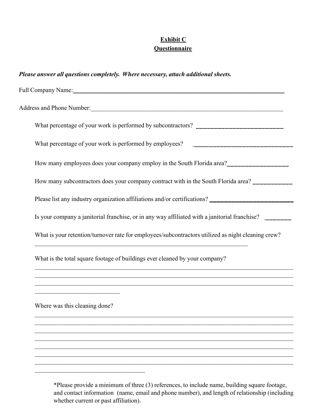# **Exhibit C Questionnaire**

| Please answer all questions completely. Where necessary, attach additional sheets.                                                                                                                   |  |  |  |  |  |  |
|------------------------------------------------------------------------------------------------------------------------------------------------------------------------------------------------------|--|--|--|--|--|--|
|                                                                                                                                                                                                      |  |  |  |  |  |  |
| Address and Phone Number:                                                                                                                                                                            |  |  |  |  |  |  |
|                                                                                                                                                                                                      |  |  |  |  |  |  |
|                                                                                                                                                                                                      |  |  |  |  |  |  |
| How many employees does your company employ in the South Florida area?<br><u> </u>                                                                                                                   |  |  |  |  |  |  |
| How many subcontractors does your company contract with in the South Florida area? __________                                                                                                        |  |  |  |  |  |  |
| Please list any industry organization affiliations and/or certifications? __________________________                                                                                                 |  |  |  |  |  |  |
| Is your company a janitorial franchise, or in any way affiliated with a janitorial franchise?                                                                                                        |  |  |  |  |  |  |
| What is your retention/turnover rate for employees/subcontractors utilized as night cleaning crew?                                                                                                   |  |  |  |  |  |  |
| What is the total square footage of buildings ever cleaned by your company?<br><u> 1989 - Johann Harry Harry Harry Harry Harry Harry Harry Harry Harry Harry Harry Harry Harry Harry Harry Harry</u> |  |  |  |  |  |  |
| ,我们也不能在这里的人,我们也不能在这里的人,我们也不能在这里的人,我们也不能在这里的人,我们也不能在这里的人,我们也不能在这里的人,我们也不能在这里的人,我们也<br><u> 1989 - Johann Barbara, margaret eta idazlea (h. 1989).</u>                                                  |  |  |  |  |  |  |
| Where was this cleaning done?                                                                                                                                                                        |  |  |  |  |  |  |
|                                                                                                                                                                                                      |  |  |  |  |  |  |
|                                                                                                                                                                                                      |  |  |  |  |  |  |
|                                                                                                                                                                                                      |  |  |  |  |  |  |
|                                                                                                                                                                                                      |  |  |  |  |  |  |

· \*Please provide a minimum of three (3) references, to include name, building square footage, and contact information (name, email and phone number), and length of relationship (including whether current or past affiliation).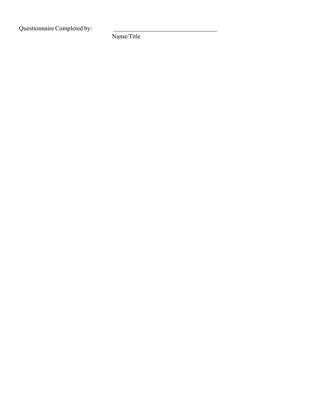Questionnaire Completed by:

Name/Title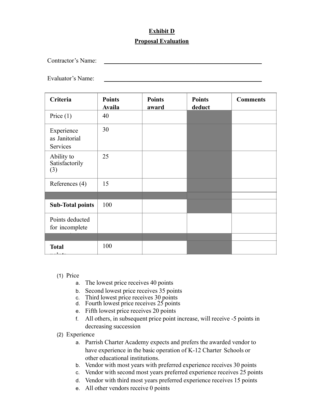# **Exhibit D Proposal Evaluation**

Contractor's Name:

Evaluator's Name:

| Criteria                                | <b>Points</b><br><b>Availa</b> | <b>Points</b><br>award | <b>Points</b><br>deduct | <b>Comments</b> |
|-----------------------------------------|--------------------------------|------------------------|-------------------------|-----------------|
| Price $(1)$                             | 40                             |                        |                         |                 |
| Experience<br>as Janitorial<br>Services | 30                             |                        |                         |                 |
| Ability to<br>Satisfactorily<br>(3)     | 25                             |                        |                         |                 |
| References (4)                          | 15                             |                        |                         |                 |
|                                         |                                |                        |                         |                 |
| <b>Sub-Total points</b>                 | 100                            |                        |                         |                 |
| Points deducted<br>for incomplete       |                                |                        |                         |                 |
|                                         |                                |                        |                         |                 |
| <b>Total</b>                            | 100                            |                        |                         |                 |

- (1) Price
	- a. The lowest price receives 40 points
	- b. Second lowest price receives 35 points
	- c. Third lowest price receives 30 points
	- d. Fourth lowest price receives 25 points
	- e. Fifth lowest price receives 20 points
	- f. All others, in subsequent price point increase, will receive -5 points in decreasing succession
- (2) Experience
	- a. Parrish Charter Academy expects and prefers the awarded vendor to have experience in the basic operation of K-12 Charter Schools or other educational institutions.
	- b. Vendor with most years with preferred experience receives 30 points
	- c. Vendor with second most years preferred experience receives 25 points
	- d. Vendor with third most years preferred experience receives 15 points
	- e. All other vendors receive 0 points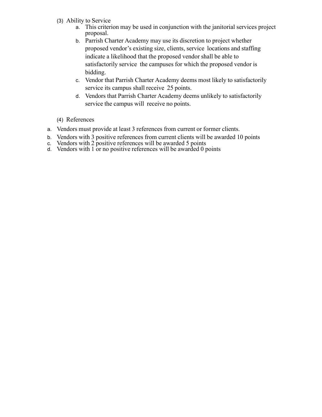- (3) Ability to Service
	- a. This criterion may be used in conjunction with the janitorial services project proposal.
	- b. Parrish Charter Academy may use its discretion to project whether proposed vendor's existing size, clients, service locations and staffing indicate a likelihood that the proposed vendor shall be able to satisfactorily service the campuses for which the proposed vendor is bidding.
	- c. Vendor that Parrish Charter Academy deems most likely to satisfactorily service its campus shall receive 25 points.
	- d. Vendors that Parrish Charter Academy deems unlikely to satisfactorily service the campus will receive no points.
- (4) References
- a. Vendors must provide at least 3 references from current or former clients.
- b. Vendors with 3 positive references from current clients will be awarded 10 points
- c. Vendors with 2 positive references will be awarded 5 points
- d. Vendors with 1 or no positive references will be awarded 0 points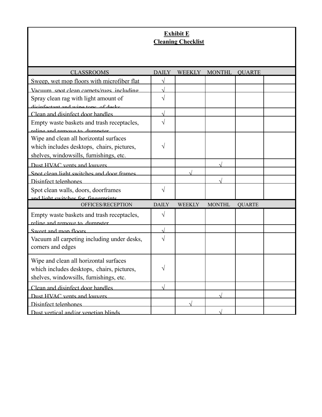# **Exhibit E Cleaning Checklist**

| <b>CLASSROOMS</b>                                                           | <b>DAILY</b> | <b>WEEKLY</b> | <b>MONTHL</b> | <b>QUARTE</b> |  |
|-----------------------------------------------------------------------------|--------------|---------------|---------------|---------------|--|
| Sweep, wet mop floors with microfiber flat                                  | $\sqrt{}$    |               |               |               |  |
| Vacuum spot clean carnets/rugs including                                    |              |               |               |               |  |
| Spray clean rag with light amount of                                        | V            |               |               |               |  |
| diginfectant and wine tone of degler                                        |              |               |               |               |  |
| Clean and disinfect door handles                                            |              |               |               |               |  |
| Empty waste baskets and trash receptacles,                                  | $\sqrt{2}$   |               |               |               |  |
| reline and remove to dumnster                                               |              |               |               |               |  |
| Wipe and clean all horizontal surfaces                                      |              |               |               |               |  |
| which includes desktops, chairs, pictures,                                  | V            |               |               |               |  |
| shelves, windowsills, furnishings, etc.                                     |              |               |               |               |  |
| Dust HVAC vents and louvers                                                 |              |               |               |               |  |
| Spot clean light switches and door frames                                   |              |               |               |               |  |
| Disinfect telephones                                                        |              |               |               |               |  |
|                                                                             |              |               |               |               |  |
| Spot clean walls, doors, doorframes                                         | $\sqrt{}$    |               |               |               |  |
| and light ewitches for fingerprints                                         |              |               |               |               |  |
| OFFICES/RECEPTION                                                           | <b>DAILY</b> | WEEKLY        | <b>MONTHL</b> | <b>QUARTE</b> |  |
|                                                                             | $\sqrt{}$    |               |               |               |  |
| Empty waste baskets and trash receptacles,<br>reline and remove to dumnster |              |               |               |               |  |
| Sweet and mon floors                                                        |              |               |               |               |  |
| Vacuum all carpeting including under desks,                                 | V            |               |               |               |  |
| corners and edges                                                           |              |               |               |               |  |
|                                                                             |              |               |               |               |  |
| Wipe and clean all horizontal surfaces                                      |              |               |               |               |  |
| which includes desktops, chairs, pictures,                                  | V            |               |               |               |  |
| shelves, windowsills, furnishings, etc.                                     |              |               |               |               |  |
| Clean and disinfect door handles                                            |              |               |               |               |  |
| Dust HVAC vents and louvers                                                 |              |               |               |               |  |
| Disinfect telephones                                                        |              |               |               |               |  |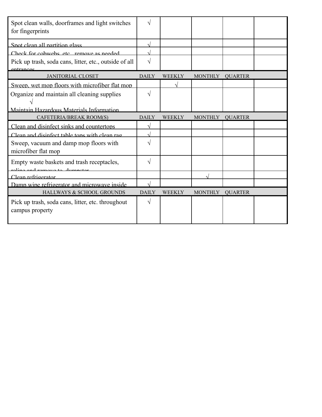| Spot clean walls, doorframes and light switches<br>for fingerprints  | V            |               |                |                |  |
|----------------------------------------------------------------------|--------------|---------------|----------------|----------------|--|
| Spot clean all partition glass                                       |              |               |                |                |  |
| Check for cohwebs etc remove as needed                               |              |               |                |                |  |
| Pick up trash, soda cans, litter, etc., outside of all<br>entrances  | $\sqrt{ }$   |               |                |                |  |
| <b>JANITORIAL CLOSET</b>                                             | <b>DAILY</b> | <b>WEEKLY</b> | <b>MONTHLY</b> | <b>QUARTER</b> |  |
| Sweep, wet mop floors with microfiber flat mop                       |              |               |                |                |  |
| Organize and maintain all cleaning supplies                          | $\sqrt{}$    |               |                |                |  |
| Maintain Hazardous Materials Information                             |              |               |                |                |  |
| CAFETERIA/BREAK ROOM(S)                                              | <b>DAILY</b> | <b>WEEKLY</b> | <b>MONTHLY</b> | <b>OUARTER</b> |  |
| Clean and disinfect sinks and countertops                            |              |               |                |                |  |
| Clean and disinfect table tons with clean rag                        |              |               |                |                |  |
| Sweep, vacuum and damp mop floors with<br>microfiber flat mop        | V            |               |                |                |  |
| Empty waste baskets and trash receptacles,                           | $\sqrt{ }$   |               |                |                |  |
| Clean refrigerator                                                   |              |               |                |                |  |
| Damp wipe refrigerator and microwave inside                          |              |               |                |                |  |
| HALLWAYS & SCHOOL GROUNDS                                            | <b>DAILY</b> | <b>WEEKLY</b> | <b>MONTHLY</b> | <b>QUARTER</b> |  |
| Pick up trash, soda cans, litter, etc. throughout<br>campus property | V            |               |                |                |  |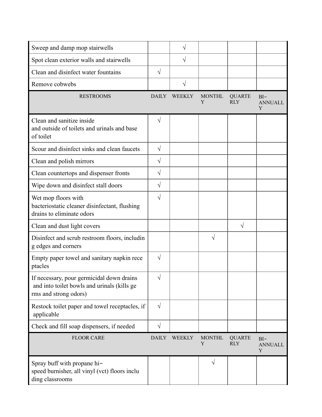| Sweep and damp mop stairwells                                                                                     |              | V             |                    |                             |                               |
|-------------------------------------------------------------------------------------------------------------------|--------------|---------------|--------------------|-----------------------------|-------------------------------|
| Spot clean exterior walls and stairwells                                                                          |              | $\sqrt{}$     |                    |                             |                               |
| Clean and disinfect water fountains                                                                               |              |               |                    |                             |                               |
| Remove cobwebs                                                                                                    |              | $\sqrt{}$     |                    |                             |                               |
| <b>RESTROOMS</b>                                                                                                  | <b>DAILY</b> | <b>WEEKLY</b> | <b>MONTHL</b><br>Y | <b>QUARTE</b><br><b>RLY</b> | $BI -$<br><b>ANNUALL</b><br>Y |
| Clean and sanitize inside<br>and outside of toilets and urinals and base<br>of toilet                             | $\sqrt{}$    |               |                    |                             |                               |
| Scour and disinfect sinks and clean faucets                                                                       | $\sqrt{}$    |               |                    |                             |                               |
| Clean and polish mirrors                                                                                          |              |               |                    |                             |                               |
| Clean countertops and dispenser fronts                                                                            | $\sqrt{}$    |               |                    |                             |                               |
| Wipe down and disinfect stall doors                                                                               | $\sqrt{ }$   |               |                    |                             |                               |
| Wet mop floors with<br>bacteriostatic cleaner disinfectant, flushing<br>drains to eliminate odors                 | $\sqrt{}$    |               |                    |                             |                               |
| Clean and dust light covers                                                                                       |              |               |                    | $\sqrt{}$                   |                               |
| Disinfect and scrub restroom floors, includin<br>g edges and corners                                              |              |               |                    |                             |                               |
| Empty paper towel and sanitary napkin rece<br>ptacles                                                             | $\sqrt{}$    |               |                    |                             |                               |
| If necessary, pour germicidal down drains<br>and into toilet bowls and urinals (kills ge<br>rms and strong odors) | $\sqrt{ }$   |               |                    |                             |                               |
| Restock toilet paper and towel receptacles, if<br>applicable                                                      | $\sqrt{ }$   |               |                    |                             |                               |
| Check and fill soap dispensers, if needed                                                                         | $\sqrt{}$    |               |                    |                             |                               |
| <b>FLOOR CARE</b>                                                                                                 | <b>DAILY</b> | <b>WEEKLY</b> | <b>MONTHL</b><br>Y | <b>QUARTE</b><br><b>RLY</b> | $BI-$<br><b>ANNUALL</b><br>Y  |
| Spray buff with propane hi-<br>speed burnisher, all vinyl (vct) floors inclu<br>ding classrooms                   |              |               | $\sqrt{}$          |                             |                               |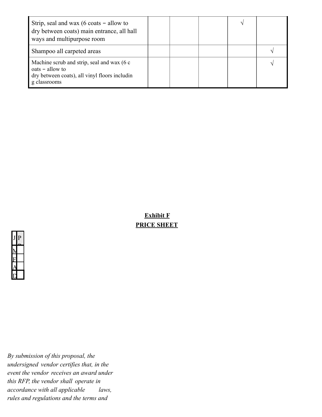| Strip, seal and wax (6 coats $-$ allow to<br>dry between coats) main entrance, all hall<br>ways and multipurpose room            |  |  |  |
|----------------------------------------------------------------------------------------------------------------------------------|--|--|--|
| Shampoo all carpeted areas                                                                                                       |  |  |  |
| Machine scrub and strip, seal and wax (6 c<br>$oats - allow to$<br>dry between coats), all vinyl floors includin<br>g classrooms |  |  |  |

**Exhibit F PRICE SHEET** 



*By submission of this proposal, the undersigned vendor certifies that, in the event the vendor receives an award under this RFP, the vendor shall operate in accordance with all applicable laws, rules and regulations and the terms and*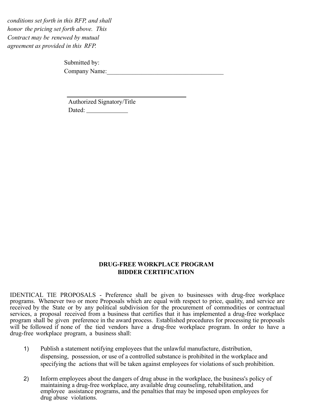*conditions set forth in this RFP, and shall honor the pricing set forth above. This Contract may be renewed by mutual agreement as provided in this RFP.* 

> Submitted by: Company Name:

Authorized Signatory/Title Dated:

#### **DRUG-FREE WORKPLACE PROGRAM BIDDER CERTIFICATION**

IDENTICAL TIE PROPOSALS - Preference shall be given to businesses with drug-free workplace programs. Whenever two or more Proposals which are equal with respect to price, quality, and service are received by the State or by any political subdivision for the procurement of commodities or contractual services, a proposal received from a business that certifies that it has implemented a drug-free workplace program shall be given preference in the award process. Established procedures for processing tie proposals will be followed if none of the tied vendors have a drug-free workplace program. In order to have a drug-free workplace program, a business shall:

- 1) Publish a statement notifying employees that the unlawful manufacture, distribution, dispensing, possession, or use of a controlled substance is prohibited in the workplace and specifying the actions that will be taken against employees for violations of such prohibition.
- 2) Inform employees about the dangers of drug abuse in the workplace, the business's policy of maintaining a drug-free workplace, any available drug counseling, rehabilitation, and employee assistance programs, and the penalties that may be imposed upon employees for drug abuse violations.